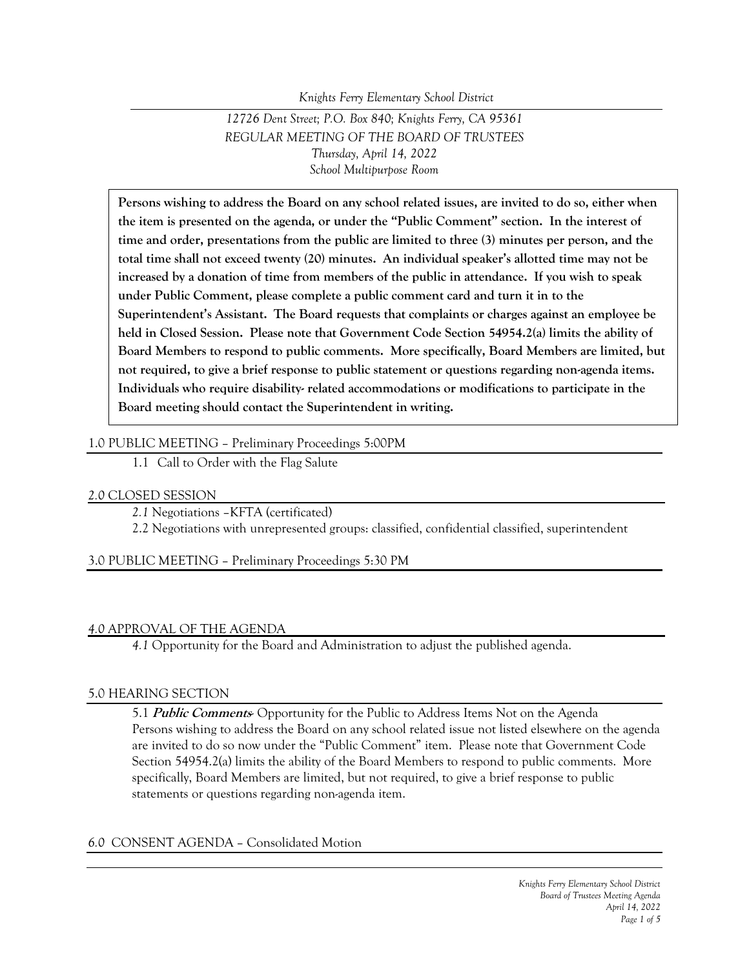*Knights Ferry Elementary School District*

# *12726 Dent Street; P.O. Box 840; Knights Ferry, CA 95361 REGULAR MEETING OF THE BOARD OF TRUSTEES Thursday, April 14, 2022 School Multipurpose Room*

**Persons wishing to address the Board on any school related issues, are invited to do so, either when the item is presented on the agenda, or under the "Public Comment" section. In the interest of time and order, presentations from the public are limited to three (3) minutes per person, and the total time shall not exceed twenty (20) minutes. An individual speaker's allotted time may not be increased by a donation of time from members of the public in attendance. If you wish to speak under Public Comment, please complete a public comment card and turn it in to the Superintendent's Assistant. The Board requests that complaints or charges against an employee be held in Closed Session. Please note that Government Code Section 54954.2(a) limits the ability of Board Members to respond to public comments. More specifically, Board Members are limited, but not required, to give a brief response to public statement or questions regarding non-agenda items. Individuals who require disability- related accommodations or modifications to participate in the Board meeting should contact the Superintendent in writing.**

### 1.0 PUBLIC MEETING – Preliminary Proceedings 5:00PM

1.1 Call to Order with the Flag Salute

### *2.0* CLOSED SESSION

*2.1* Negotiations –KFTA (certificated)

2.2 Negotiations with unrepresented groups: classified, confidential classified, superintendent

3.0 PUBLIC MEETING – Preliminary Proceedings 5:30 PM

### *4.0* APPROVAL OF THE AGENDA

*4.1* Opportunity for the Board and Administration to adjust the published agenda.

#### 5.0 HEARING SECTION

5.1 **Public Comments**- Opportunity for the Public to Address Items Not on the Agenda Persons wishing to address the Board on any school related issue not listed elsewhere on the agenda are invited to do so now under the "Public Comment" item. Please note that Government Code Section 54954.2(a) limits the ability of the Board Members to respond to public comments. More specifically, Board Members are limited, but not required, to give a brief response to public statements or questions regarding non-agenda item.

### *6.0* CONSENT AGENDA – Consolidated Motion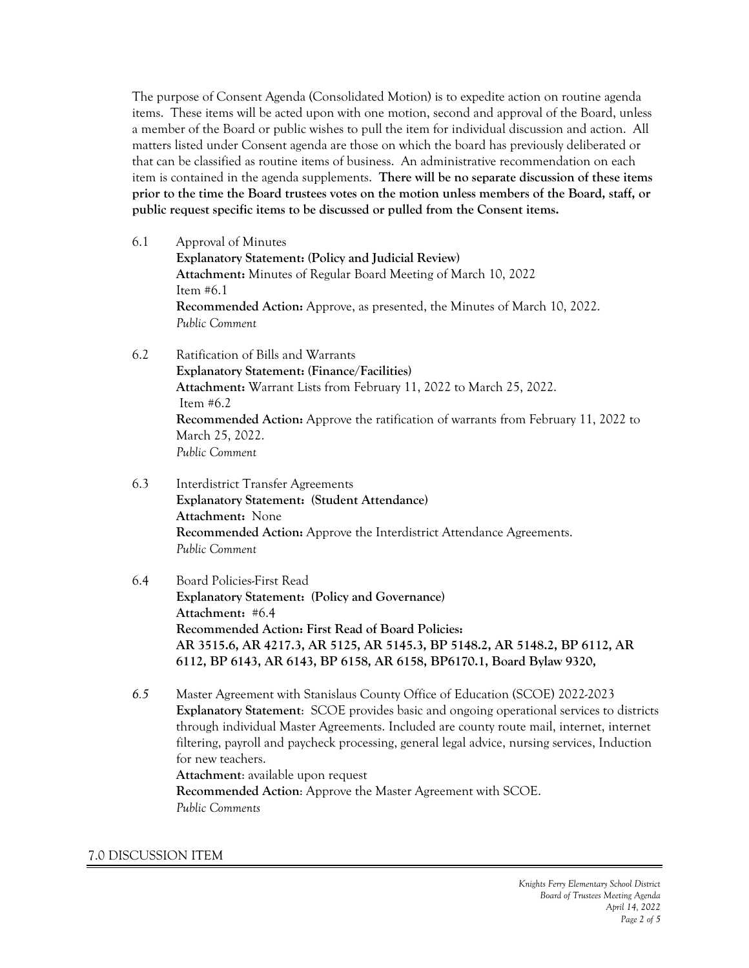The purpose of Consent Agenda (Consolidated Motion) is to expedite action on routine agenda items. These items will be acted upon with one motion, second and approval of the Board, unless a member of the Board or public wishes to pull the item for individual discussion and action. All matters listed under Consent agenda are those on which the board has previously deliberated or that can be classified as routine items of business. An administrative recommendation on each item is contained in the agenda supplements. **There will be no separate discussion of these items prior to the time the Board trustees votes on the motion unless members of the Board, staff, or public request specific items to be discussed or pulled from the Consent items.**

- 6.1 Approval of Minutes **Explanatory Statement: (Policy and Judicial Review) Attachment:** Minutes of Regular Board Meeting of March 10, 2022 Item #6.1 **Recommended Action:** Approve, as presented, the Minutes of March 10, 2022. *Public Comment*
- 6.2 Ratification of Bills and Warrants **Explanatory Statement: (Finance/Facilities) Attachment:** Warrant Lists from February 11, 2022 to March 25, 2022. Item #6.2 **Recommended Action:** Approve the ratification of warrants from February 11, 2022 to March 25, 2022. *Public Comment*
- 6.3 Interdistrict Transfer Agreements **Explanatory Statement: (Student Attendance) Attachment:** None **Recommended Action:** Approve the Interdistrict Attendance Agreements. *Public Comment*

## 6.4 Board Policies-First Read **Explanatory Statement: (Policy and Governance) Attachment:** #6.4 **Recommended Action: First Read of Board Policies: AR 3515.6, AR 4217.3, AR 5125, AR 5145.3, BP 5148.2, AR 5148.2, BP 6112, AR 6112, BP 6143, AR 6143, BP 6158, AR 6158, BP6170.1, Board Bylaw 9320,**

*6.5* Master Agreement with Stanislaus County Office of Education (SCOE) 2022-2023 **Explanatory Statement**: SCOE provides basic and ongoing operational services to districts through individual Master Agreements. Included are county route mail, internet, internet filtering, payroll and paycheck processing, general legal advice, nursing services, Induction for new teachers. **Attachment**: available upon request **Recommended Action**: Approve the Master Agreement with SCOE. *Public Comments*

#### 7.0 DISCUSSION ITEM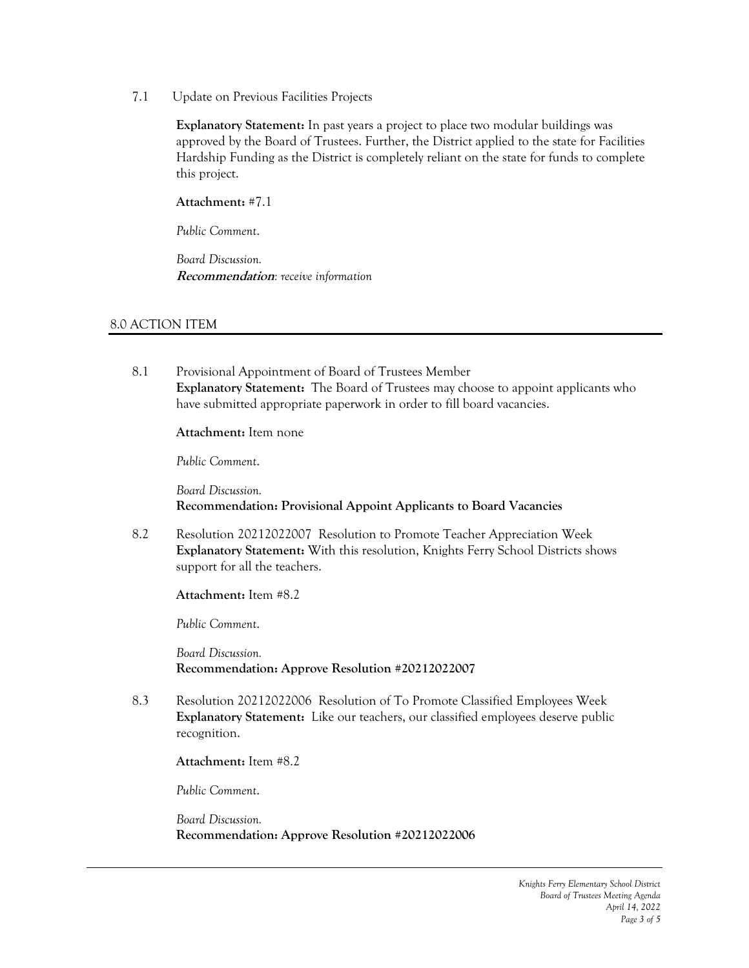7.1 Update on Previous Facilities Projects

**Explanatory Statement:** In past years a project to place two modular buildings was approved by the Board of Trustees. Further, the District applied to the state for Facilities Hardship Funding as the District is completely reliant on the state for funds to complete this project.

**Attachment:** #7.1

*Public Comment*.

*Board Discussion.* **Recommendation***: receive information*

## 8.0 ACTION ITEM

8.1 Provisional Appointment of Board of Trustees Member **Explanatory Statement:** The Board of Trustees may choose to appoint applicants who have submitted appropriate paperwork in order to fill board vacancies.

**Attachment:** Item none

*Public Comment*.

*Board Discussion.* **Recommendation: Provisional Appoint Applicants to Board Vacancies**

8.2 Resolution 20212022007 Resolution to Promote Teacher Appreciation Week **Explanatory Statement:** With this resolution, Knights Ferry School Districts shows support for all the teachers.

**Attachment:** Item #8.2

*Public Comment*.

*Board Discussion.* **Recommendation: Approve Resolution #20212022007**

8.3 Resolution 20212022006 Resolution of To Promote Classified Employees Week **Explanatory Statement:** Like our teachers, our classified employees deserve public recognition.

**Attachment:** Item #8.2

*Public Comment*.

*Board Discussion.* **Recommendation: Approve Resolution #20212022006**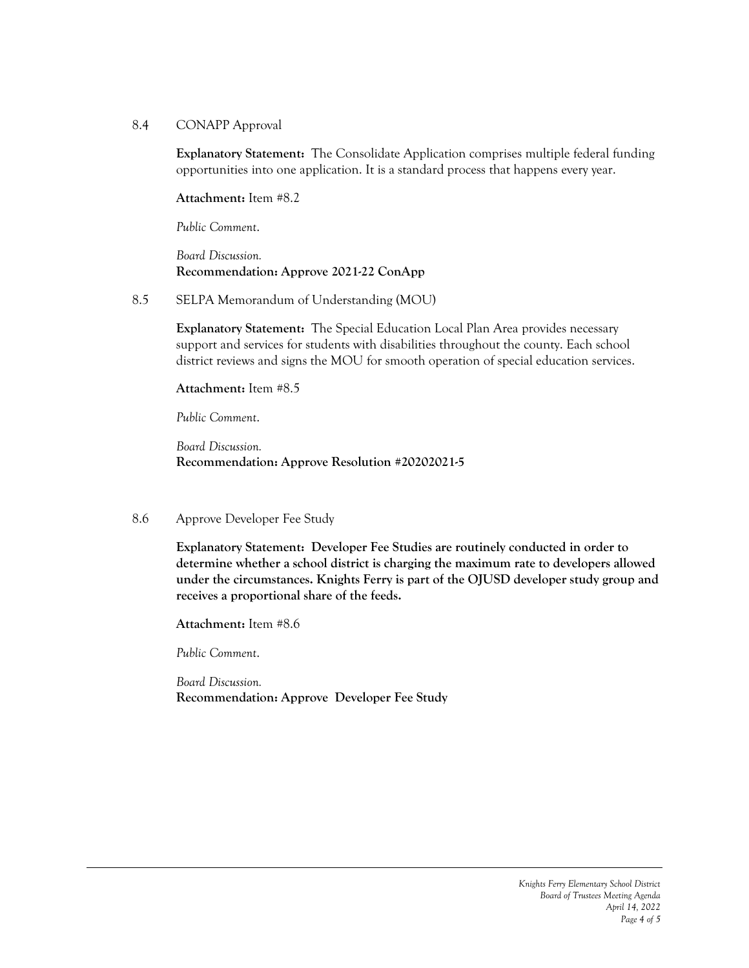### 8.4 CONAPP Approval

**Explanatory Statement:** The Consolidate Application comprises multiple federal funding opportunities into one application. It is a standard process that happens every year.

**Attachment:** Item #8.2

*Public Comment*.

*Board Discussion.* **Recommendation: Approve 2021-22 ConApp**

8.5 SELPA Memorandum of Understanding (MOU)

**Explanatory Statement:** The Special Education Local Plan Area provides necessary support and services for students with disabilities throughout the county. Each school district reviews and signs the MOU for smooth operation of special education services.

**Attachment:** Item #8.5

*Public Comment*.

*Board Discussion.* **Recommendation: Approve Resolution #20202021-5**

### 8.6 Approve Developer Fee Study

**Explanatory Statement: Developer Fee Studies are routinely conducted in order to determine whether a school district is charging the maximum rate to developers allowed under the circumstances. Knights Ferry is part of the OJUSD developer study group and receives a proportional share of the feeds.** 

**Attachment:** Item #8.6

*Public Comment*.

*Board Discussion.* **Recommendation: Approve Developer Fee Study**